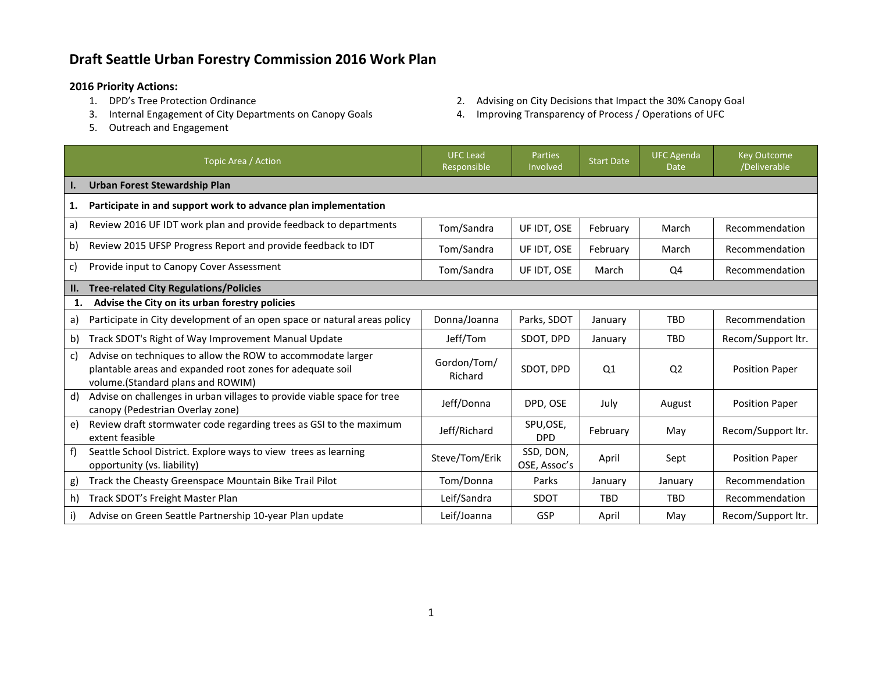## **Draft Seattle Urban Forestry Commission 2016 Work Plan**

- **2016 Priority Actions:**
	- 3. Internal Engagement of City Departments on Canopy Goals 4. Improving Transparency of Process / Operations of UFC
	- 5. Outreach and Engagement
- 2. Advising on City Decisions that Impact the 30% Canopy Goal
- 

|     | Topic Area / Action                                                                                                                                           | <b>UFC</b> Lead<br>Responsible | <b>Parties</b><br>Involved | <b>Start Date</b> | <b>UFC Agenda</b><br><b>Date</b> | <b>Key Outcome</b><br>/Deliverable |  |
|-----|---------------------------------------------------------------------------------------------------------------------------------------------------------------|--------------------------------|----------------------------|-------------------|----------------------------------|------------------------------------|--|
| ı.  | <b>Urban Forest Stewardship Plan</b>                                                                                                                          |                                |                            |                   |                                  |                                    |  |
| 1.  | Participate in and support work to advance plan implementation                                                                                                |                                |                            |                   |                                  |                                    |  |
| a)  | Review 2016 UF IDT work plan and provide feedback to departments                                                                                              | Tom/Sandra                     | UF IDT, OSE                | February          | March                            | Recommendation                     |  |
| b)  | Review 2015 UFSP Progress Report and provide feedback to IDT                                                                                                  | Tom/Sandra                     | UF IDT, OSE                | February          | March                            | Recommendation                     |  |
| c)  | Provide input to Canopy Cover Assessment                                                                                                                      | Tom/Sandra                     | UF IDT, OSE                | March             | Q4                               | Recommendation                     |  |
| II. | <b>Tree-related City Regulations/Policies</b>                                                                                                                 |                                |                            |                   |                                  |                                    |  |
| 1.  | Advise the City on its urban forestry policies                                                                                                                |                                |                            |                   |                                  |                                    |  |
| a)  | Participate in City development of an open space or natural areas policy                                                                                      | Donna/Joanna                   | Parks, SDOT                | January           | <b>TBD</b>                       | Recommendation                     |  |
| b)  | Track SDOT's Right of Way Improvement Manual Update                                                                                                           | Jeff/Tom                       | SDOT. DPD                  | January           | <b>TBD</b>                       | Recom/Support ltr.                 |  |
| c)  | Advise on techniques to allow the ROW to accommodate larger<br>plantable areas and expanded root zones for adequate soil<br>volume.(Standard plans and ROWIM) | Gordon/Tom/<br>Richard         | SDOT, DPD                  | Q <sub>1</sub>    | Q <sub>2</sub>                   | <b>Position Paper</b>              |  |
| d)  | Advise on challenges in urban villages to provide viable space for tree<br>canopy (Pedestrian Overlay zone)                                                   | Jeff/Donna                     | DPD, OSE                   | July              | August                           | <b>Position Paper</b>              |  |
| e)  | Review draft stormwater code regarding trees as GSI to the maximum<br>extent feasible                                                                         | Jeff/Richard                   | SPU,OSE,<br><b>DPD</b>     | February          | May                              | Recom/Support ltr.                 |  |
| f)  | Seattle School District. Explore ways to view trees as learning<br>opportunity (vs. liability)                                                                | Steve/Tom/Erik                 | SSD, DON,<br>OSE, Assoc's  | April             | Sept                             | <b>Position Paper</b>              |  |
| g)  | Track the Cheasty Greenspace Mountain Bike Trail Pilot                                                                                                        | Tom/Donna                      | Parks                      | January           | January                          | Recommendation                     |  |
| h)  | Track SDOT's Freight Master Plan                                                                                                                              | Leif/Sandra                    | SDOT                       | <b>TBD</b>        | <b>TBD</b>                       | Recommendation                     |  |
|     | Advise on Green Seattle Partnership 10-year Plan update                                                                                                       | Leif/Joanna                    | GSP                        | April             | May                              | Recom/Support ltr.                 |  |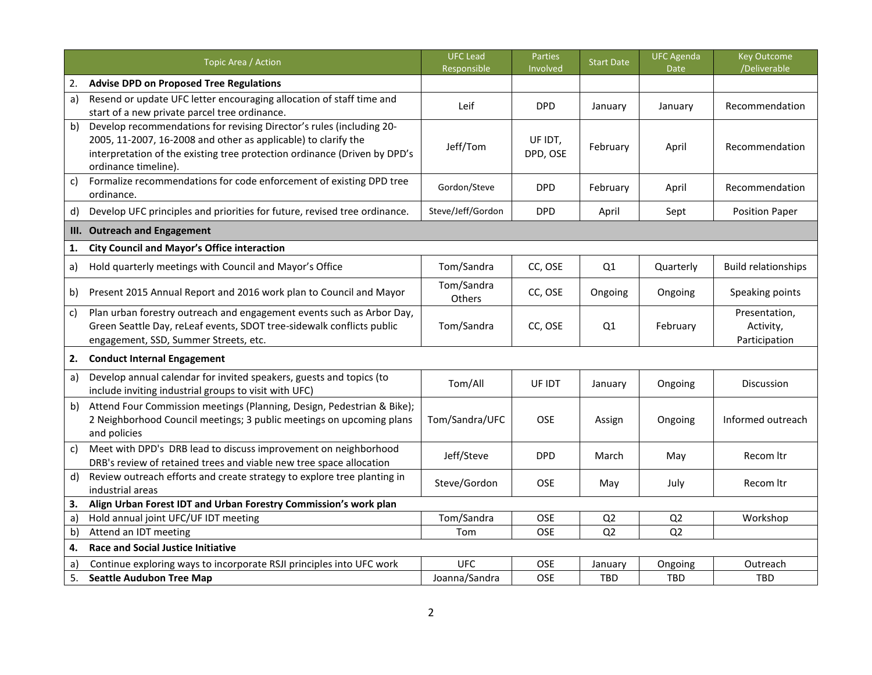|    | Topic Area / Action                                                                                                                                                                                                                         | <b>UFC Lead</b><br>Responsible | <b>Parties</b><br>Involved | <b>Start Date</b> | <b>UFC Agenda</b><br>Date | <b>Key Outcome</b><br>/Deliverable          |
|----|---------------------------------------------------------------------------------------------------------------------------------------------------------------------------------------------------------------------------------------------|--------------------------------|----------------------------|-------------------|---------------------------|---------------------------------------------|
| 2. | <b>Advise DPD on Proposed Tree Regulations</b>                                                                                                                                                                                              |                                |                            |                   |                           |                                             |
| a) | Resend or update UFC letter encouraging allocation of staff time and<br>start of a new private parcel tree ordinance.                                                                                                                       | Leif                           | <b>DPD</b>                 | January           | January                   | Recommendation                              |
| b) | Develop recommendations for revising Director's rules (including 20-<br>2005, 11-2007, 16-2008 and other as applicable) to clarify the<br>interpretation of the existing tree protection ordinance (Driven by DPD's<br>ordinance timeline). | Jeff/Tom                       | UF IDT,<br>DPD, OSE        | February          | April                     | Recommendation                              |
| c) | Formalize recommendations for code enforcement of existing DPD tree<br>ordinance.                                                                                                                                                           | Gordon/Steve                   | <b>DPD</b>                 | February          | April                     | Recommendation                              |
| d) | Develop UFC principles and priorities for future, revised tree ordinance.                                                                                                                                                                   | Steve/Jeff/Gordon              | <b>DPD</b>                 | April             | Sept                      | <b>Position Paper</b>                       |
| Ш. | <b>Outreach and Engagement</b>                                                                                                                                                                                                              |                                |                            |                   |                           |                                             |
| 1. | <b>City Council and Mayor's Office interaction</b>                                                                                                                                                                                          |                                |                            |                   |                           |                                             |
| a) | Hold quarterly meetings with Council and Mayor's Office                                                                                                                                                                                     | Tom/Sandra                     | CC, OSE                    | Q1                | Quarterly                 | <b>Build relationships</b>                  |
| b) | Present 2015 Annual Report and 2016 work plan to Council and Mayor                                                                                                                                                                          | Tom/Sandra<br>Others           | CC, OSE                    | Ongoing           | Ongoing                   | Speaking points                             |
| c) | Plan urban forestry outreach and engagement events such as Arbor Day,<br>Green Seattle Day, reLeaf events, SDOT tree-sidewalk conflicts public<br>engagement, SSD, Summer Streets, etc.                                                     | Tom/Sandra                     | CC, OSE                    | Q1                | February                  | Presentation,<br>Activity,<br>Participation |
| 2. | <b>Conduct Internal Engagement</b>                                                                                                                                                                                                          |                                |                            |                   |                           |                                             |
| a) | Develop annual calendar for invited speakers, guests and topics (to<br>include inviting industrial groups to visit with UFC)                                                                                                                | Tom/All                        | UF IDT                     | January           | Ongoing                   | <b>Discussion</b>                           |
| b) | Attend Four Commission meetings (Planning, Design, Pedestrian & Bike);<br>2 Neighborhood Council meetings; 3 public meetings on upcoming plans<br>and policies                                                                              | Tom/Sandra/UFC                 | <b>OSE</b>                 | Assign            | Ongoing                   | Informed outreach                           |
| c) | Meet with DPD's DRB lead to discuss improvement on neighborhood<br>DRB's review of retained trees and viable new tree space allocation                                                                                                      | Jeff/Steve                     | <b>DPD</b>                 | March             | May                       | Recom Itr                                   |
| d) | Review outreach efforts and create strategy to explore tree planting in<br>industrial areas                                                                                                                                                 | Steve/Gordon                   | <b>OSE</b>                 | May               | July                      | Recom Itr                                   |
| 3. | Align Urban Forest IDT and Urban Forestry Commission's work plan                                                                                                                                                                            |                                |                            |                   |                           |                                             |
| a) | Hold annual joint UFC/UF IDT meeting                                                                                                                                                                                                        | Tom/Sandra                     | OSE                        | Q <sub>2</sub>    | Q <sub>2</sub>            | Workshop                                    |
| b) | Attend an IDT meeting                                                                                                                                                                                                                       | Tom                            | OSE                        | Q2                | Q2                        |                                             |
| 4. | <b>Race and Social Justice Initiative</b>                                                                                                                                                                                                   |                                |                            |                   |                           |                                             |
| a) | Continue exploring ways to incorporate RSJI principles into UFC work                                                                                                                                                                        | <b>UFC</b>                     | OSE                        | January           | Ongoing                   | Outreach                                    |
| 5. | <b>Seattle Audubon Tree Map</b>                                                                                                                                                                                                             | Joanna/Sandra                  | OSE                        | TBD               | <b>TBD</b>                | TBD                                         |